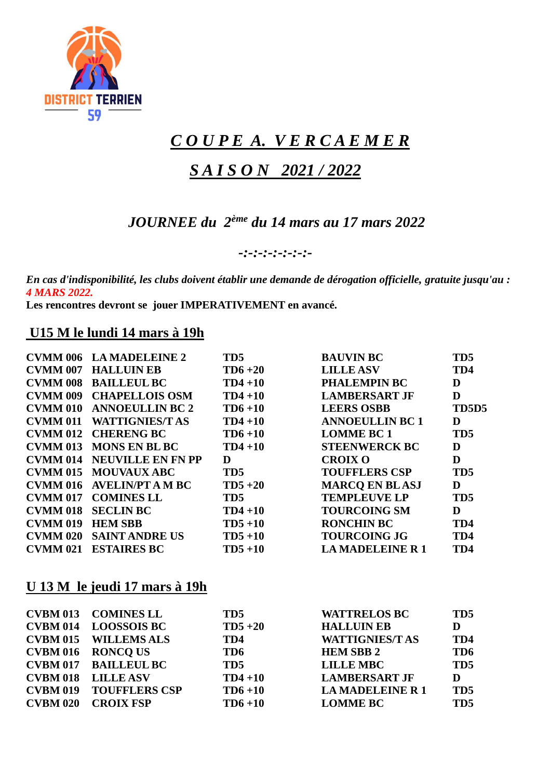

## *C O U P E A. V E R C A E M E R*

## *S A I S O N 2021 / 2022*

*JOURNEE du 2ème du 14 mars au 17 mars 2022*

*-:-:-:-:-:-:-:-*

*En cas d'indisponibilité, les clubs doivent établir une demande de dérogation officielle, gratuite jusqu'au : 4 MARS 2022.*

**CVMM 006 LA MADELEINE 2 TD5 BAUVIN BC TD5**

**Les rencontres devront se jouer IMPERATIVEMENT en avancé.**

#### **U15 M le lundi 14 mars à 19h**

| <b>CVMM 007</b> | <b>HALLUIN EB</b>             | $TD6+20$        | <b>LILLE ASV</b>        | TD <sub>4</sub> |
|-----------------|-------------------------------|-----------------|-------------------------|-----------------|
| <b>CVMM 008</b> | <b>BAILLEUL BC</b>            | $TD4+10$        | <b>PHALEMPIN BC</b>     | D               |
| <b>CVMM 009</b> | <b>CHAPELLOIS OSM</b>         | $TD4+10$        | <b>LAMBERSART JF</b>    | D               |
| <b>CVMM 010</b> | <b>ANNOEULLIN BC 2</b>        | $TD6+10$        | <b>LEERS OSBB</b>       | TD5D5           |
| <b>CVMM 011</b> | <b>WATTIGNIES/T AS</b>        | $TD4+10$        | <b>ANNOEULLIN BC1</b>   | D               |
| <b>CVMM 012</b> | <b>CHERENG BC</b>             | $TD6+10$        | <b>LOMME BC1</b>        | TD <sub>5</sub> |
| <b>CVMM 013</b> | <b>MONS EN BL BC</b>          | $TD4+10$        | <b>STEENWERCK BC</b>    | D               |
| <b>CVMM 014</b> | NEUVILLE EN FN PP             | D               | <b>CROIX O</b>          | D               |
| <b>CVMM 015</b> | <b>MOUVAUX ABC</b>            | T <sub>D5</sub> | <b>TOUFFLERS CSP</b>    | TD <sub>5</sub> |
| <b>CVMM 016</b> | <b>AVELIN/PT A M BC</b>       | $TD5+20$        | <b>MARCQ EN BLASJ</b>   | D               |
| <b>CVMM 017</b> | <b>COMINES LL</b>             | T <sub>D5</sub> | <b>TEMPLEUVE LP</b>     | TD <sub>5</sub> |
| <b>CVMM 018</b> | <b>SECLIN BC</b>              | $TD4+10$        | <b>TOURCOING SM</b>     | D               |
| <b>CVMM 019</b> | <b>HEM SBB</b>                | $TD5+10$        | <b>RONCHIN BC</b>       | TD <sub>4</sub> |
| <b>CVMM 020</b> | <b>SAINT ANDRE US</b>         | $TD5+10$        | <b>TOURCOING JG</b>     | TD <sub>4</sub> |
| <b>CVMM 021</b> | <b>ESTAIRES BC</b>            | $TD5+10$        | <b>LA MADELEINE R 1</b> | TD <sub>4</sub> |
|                 |                               |                 |                         |                 |
|                 |                               |                 |                         |                 |
|                 | U 13 M le jeudi 17 mars à 19h |                 |                         |                 |
| <b>CVBM 013</b> | <b>COMINES LL</b>             | TD <sub>5</sub> | <b>WATTRELOS BC</b>     | T <sub>D5</sub> |
| <b>CVBM 014</b> | <b>LOOSSOIS BC</b>            | $TD5+20$        | <b>HALLUIN EB</b>       | D               |
| <b>CVBM 015</b> | <b>WILLEMS ALS</b>            | TD <sub>4</sub> | <b>WATTIGNIES/TAS</b>   | TD <sub>4</sub> |
| <b>CVBM 016</b> | <b>RONCO US</b>               | TD <sub>6</sub> | <b>HEM SBB 2</b>        | TD <sub>6</sub> |
| <b>CVBM 017</b> | <b>BAILLEUL BC</b>            | T <sub>D5</sub> | <b>LILLE MBC</b>        | TD <sub>5</sub> |
| <b>CVBM 018</b> | <b>LILLE ASV</b>              | $TD4+10$        | <b>LAMBERSART JF</b>    | D               |
| <b>CVBM 019</b> | <b>TOUFFLERS CSP</b>          | $TD6+10$        | <b>LA MADELEINE R1</b>  | TD <sub>5</sub> |
| <b>CVBM 020</b> | <b>CROIX FSP</b>              | $TD6+10$        | <b>LOMME BC</b>         | TD <sub>5</sub> |
|                 |                               |                 |                         |                 |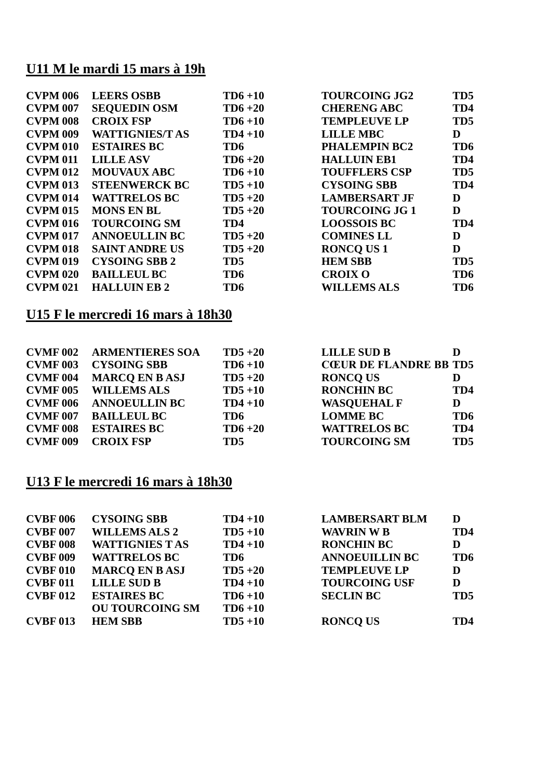# **U11 M le mardi 15 mars à 19h**

| <b>CVPM 006</b> | <b>LEERS OSBB</b>     | $TD6+10$        | <b>TOURCOING JG2</b> | T <sub>D5</sub> |
|-----------------|-----------------------|-----------------|----------------------|-----------------|
| <b>CVPM 007</b> | <b>SEQUEDIN OSM</b>   | $TD6+20$        | <b>CHERENG ABC</b>   | TD <sub>4</sub> |
| <b>CVPM 008</b> | <b>CROIX FSP</b>      | $TD6+10$        | <b>TEMPLEUVE LP</b>  | T <sub>D5</sub> |
| <b>CVPM 009</b> | <b>WATTIGNIES/TAS</b> | $TD4+10$        | <b>LILLE MBC</b>     | D               |
| <b>CVPM 010</b> | <b>ESTAIRES BC</b>    | TD <sub>6</sub> | <b>PHALEMPIN BC2</b> | TD <sub>6</sub> |
| <b>CVPM 011</b> | <b>LILLE ASV</b>      | $TD6+20$        | <b>HALLUIN EB1</b>   | TD <sub>4</sub> |
| <b>CVPM 012</b> | <b>MOUVAUX ABC</b>    | $TD6+10$        | <b>TOUFFLERS CSP</b> | T <sub>D5</sub> |
| <b>CVPM 013</b> | <b>STEENWERCK BC</b>  | $TD5+10$        | <b>CYSOING SBB</b>   | TD <sub>4</sub> |
| <b>CVPM 014</b> | <b>WATTRELOS BC</b>   | $TD5+20$        | <b>LAMBERSART JF</b> | D               |
| <b>CVPM 015</b> | <b>MONS EN BL</b>     | $TD5+20$        | <b>TOURCOING JG1</b> | D               |
| <b>CVPM 016</b> | <b>TOURCOING SM</b>   | TD4             | <b>LOOSSOIS BC</b>   | TD <sub>4</sub> |
| <b>CVPM 017</b> | <b>ANNOEULLIN BC</b>  | $TD5+20$        | <b>COMINES LL</b>    | D               |
| <b>CVPM 018</b> | <b>SAINT ANDRE US</b> | $TD5+20$        | <b>RONCO US1</b>     | D               |
| <b>CVPM 019</b> | <b>CYSOING SBB 2</b>  | TD <sub>5</sub> | <b>HEM SBB</b>       | T <sub>D5</sub> |
| <b>CVPM 020</b> | <b>BAILLEUL BC</b>    | TD <sub>6</sub> | <b>CROIX O</b>       | TD <sub>6</sub> |
| <b>CVPM 021</b> | <b>HALLUIN EB2</b>    | TD <sub>6</sub> | <b>WILLEMS ALS</b>   | TD <sub>6</sub> |

# **U15 F le mercredi 16 mars à 18h30**

| <b>CVMF 002</b> | <b>ARMENTIERES SOA</b> | $TD5+20$        | <b>LILLE SUD B</b>            | D               |
|-----------------|------------------------|-----------------|-------------------------------|-----------------|
| <b>CVMF 003</b> | <b>CYSOING SBB</b>     | $TD6+10$        | <b>CŒUR DE FLANDRE BB TD5</b> |                 |
| <b>CVMF 004</b> | <b>MARCQ EN BASJ</b>   | $TD5+20$        | <b>RONCO US</b>               | D               |
| <b>CVMF 005</b> | <b>WILLEMS ALS</b>     | $TD5+10$        | <b>RONCHIN BC</b>             | TD4             |
| <b>CVMF 006</b> | <b>ANNOEULLIN BC</b>   | $TD4+10$        | <b>WASQUEHAL F</b>            | D               |
| <b>CVMF 007</b> | <b>BAILLEUL BC</b>     | TD <sub>6</sub> | <b>LOMME BC</b>               | TD <sub>6</sub> |
| <b>CVMF 008</b> | <b>ESTAIRES BC</b>     | $TD6+20$        | <b>WATTRELOS BC</b>           | TD <sub>4</sub> |
| <b>CVMF 009</b> | <b>CROIX FSP</b>       | TD5             | <b>TOURCOING SM</b>           | T <sub>D5</sub> |

#### **U13 F le mercredi 16 mars à 18h30**

| <b>CVBF 006</b> | <b>CYSOING SBB</b>     | $TD4+10$        | <b>LAMBERSART BLM</b> | D               |
|-----------------|------------------------|-----------------|-----------------------|-----------------|
| <b>CVBF 007</b> | <b>WILLEMS ALS 2</b>   | $TD5+10$        | <b>WAVRIN W B</b>     | TD <sub>4</sub> |
| <b>CVBF 008</b> | <b>WATTIGNIES TAS</b>  | $TD4+10$        | <b>RONCHIN BC</b>     | D               |
| <b>CVBF 009</b> | <b>WATTRELOS BC</b>    | TD <sub>6</sub> | <b>ANNOEUILLIN BC</b> | TD <sub>6</sub> |
| <b>CVBF 010</b> | <b>MARCQ EN BASJ</b>   | $TD5+20$        | <b>TEMPLEUVE LP</b>   | D               |
| <b>CVBF 011</b> | <b>LILLE SUD B</b>     | $TD4+10$        | <b>TOURCOING USF</b>  | D               |
| <b>CVBF 012</b> | <b>ESTAIRES BC</b>     | $TD6+10$        | <b>SECLIN BC</b>      | T <sub>D5</sub> |
|                 | <b>OU TOURCOING SM</b> | $TD6+10$        |                       |                 |
| <b>CVBF 013</b> | <b>HEM SBB</b>         | $TD5+10$        | <b>RONCOUS</b>        | TD4             |